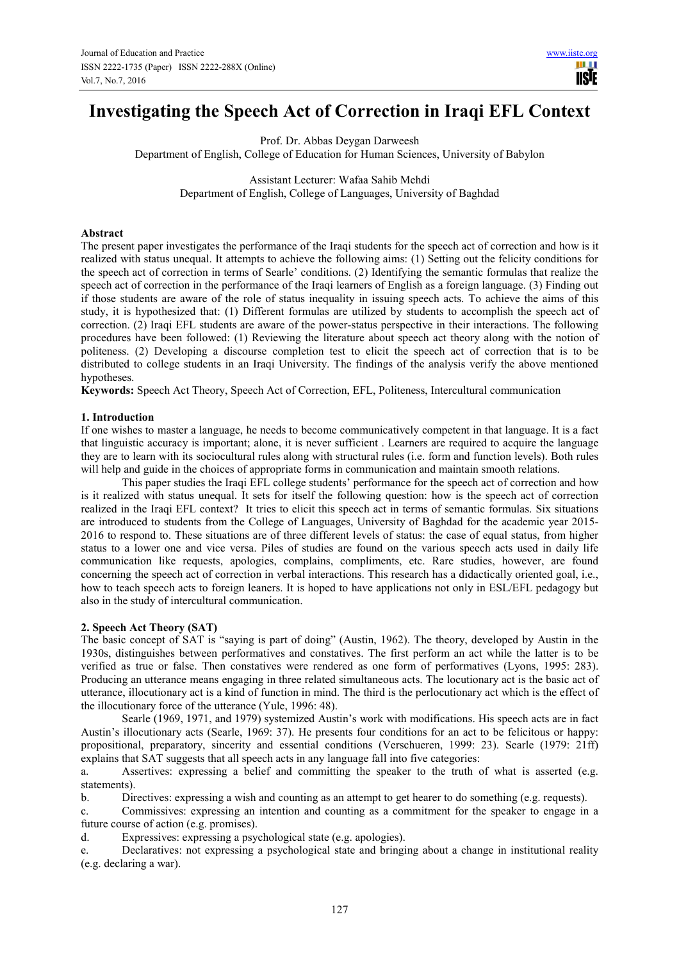# **Investigating the Speech Act of Correction in Iraqi EFL Context**

Prof. Dr. Abbas Deygan Darweesh Department of English, College of Education for Human Sciences, University of Babylon

> Assistant Lecturer: Wafaa Sahib Mehdi Department of English, College of Languages, University of Baghdad

## **Abstract**

The present paper investigates the performance of the Iraqi students for the speech act of correction and how is it realized with status unequal. It attempts to achieve the following aims: (1) Setting out the felicity conditions for the speech act of correction in terms of Searle' conditions. (2) Identifying the semantic formulas that realize the speech act of correction in the performance of the Iraqi learners of English as a foreign language. (3) Finding out if those students are aware of the role of status inequality in issuing speech acts. To achieve the aims of this study, it is hypothesized that: (1) Different formulas are utilized by students to accomplish the speech act of correction. (2) Iraqi EFL students are aware of the power-status perspective in their interactions. The following procedures have been followed: (1) Reviewing the literature about speech act theory along with the notion of politeness. (2) Developing a discourse completion test to elicit the speech act of correction that is to be distributed to college students in an Iraqi University. The findings of the analysis verify the above mentioned hypotheses.

**Keywords:** Speech Act Theory, Speech Act of Correction, EFL, Politeness, Intercultural communication

#### **1. Introduction**

If one wishes to master a language, he needs to become communicatively competent in that language. It is a fact that linguistic accuracy is important; alone, it is never sufficient . Learners are required to acquire the language they are to learn with its sociocultural rules along with structural rules (i.e. form and function levels). Both rules will help and guide in the choices of appropriate forms in communication and maintain smooth relations.

This paper studies the Iraqi EFL college students' performance for the speech act of correction and how is it realized with status unequal. It sets for itself the following question: how is the speech act of correction realized in the Iraqi EFL context? It tries to elicit this speech act in terms of semantic formulas. Six situations are introduced to students from the College of Languages, University of Baghdad for the academic year 2015- 2016 to respond to. These situations are of three different levels of status: the case of equal status, from higher status to a lower one and vice versa. Piles of studies are found on the various speech acts used in daily life communication like requests, apologies, complains, compliments, etc. Rare studies, however, are found concerning the speech act of correction in verbal interactions. This research has a didactically oriented goal, i.e., how to teach speech acts to foreign leaners. It is hoped to have applications not only in ESL/EFL pedagogy but also in the study of intercultural communication.

#### **2. Speech Act Theory (SAT)**

The basic concept of SAT is "saying is part of doing" (Austin, 1962). The theory, developed by Austin in the 1930s, distinguishes between performatives and constatives. The first perform an act while the latter is to be verified as true or false. Then constatives were rendered as one form of performatives (Lyons, 1995: 283). Producing an utterance means engaging in three related simultaneous acts. The locutionary act is the basic act of utterance, illocutionary act is a kind of function in mind. The third is the perlocutionary act which is the effect of the illocutionary force of the utterance (Yule, 1996: 48).

Searle (1969, 1971, and 1979) systemized Austin's work with modifications. His speech acts are in fact Austin's illocutionary acts (Searle, 1969: 37). He presents four conditions for an act to be felicitous or happy: propositional, preparatory, sincerity and essential conditions (Verschueren, 1999: 23). Searle (1979: 21ff) explains that SAT suggests that all speech acts in any language fall into five categories:

a. Assertives: expressing a belief and committing the speaker to the truth of what is asserted (e.g. statements).

b. Directives: expressing a wish and counting as an attempt to get hearer to do something (e.g. requests).

c. Commissives: expressing an intention and counting as a commitment for the speaker to engage in a future course of action (e.g. promises).

d. Expressives: expressing a psychological state (e.g. apologies).

e. Declaratives: not expressing a psychological state and bringing about a change in institutional reality (e.g. declaring a war).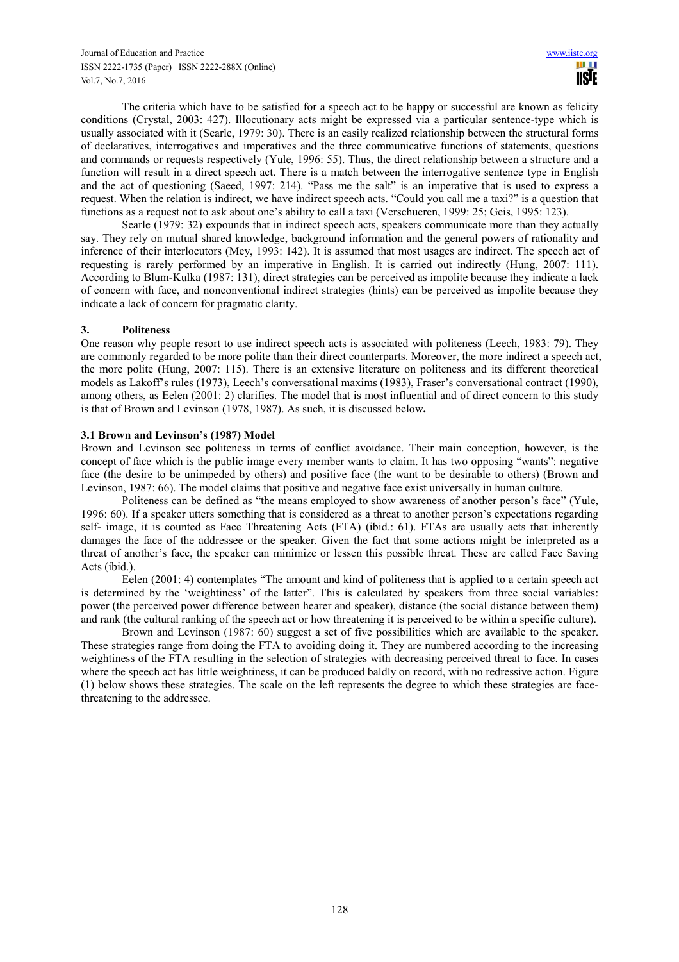The criteria which have to be satisfied for a speech act to be happy or successful are known as felicity conditions (Crystal, 2003: 427). Illocutionary acts might be expressed via a particular sentence-type which is usually associated with it (Searle, 1979: 30). There is an easily realized relationship between the structural forms of declaratives, interrogatives and imperatives and the three communicative functions of statements, questions and commands or requests respectively (Yule, 1996: 55). Thus, the direct relationship between a structure and a function will result in a direct speech act. There is a match between the interrogative sentence type in English and the act of questioning (Saeed, 1997: 214). "Pass me the salt" is an imperative that is used to express a request. When the relation is indirect, we have indirect speech acts. "Could you call me a taxi?" is a question that functions as a request not to ask about one's ability to call a taxi (Verschueren, 1999: 25; Geis, 1995: 123).

Searle (1979: 32) expounds that in indirect speech acts, speakers communicate more than they actually say. They rely on mutual shared knowledge, background information and the general powers of rationality and inference of their interlocutors (Mey, 1993: 142). It is assumed that most usages are indirect. The speech act of requesting is rarely performed by an imperative in English. It is carried out indirectly (Hung, 2007: 111). According to Blum-Kulka (1987: 131), direct strategies can be perceived as impolite because they indicate a lack of concern with face, and nonconventional indirect strategies (hints) can be perceived as impolite because they indicate a lack of concern for pragmatic clarity.

## **3. Politeness**

One reason why people resort to use indirect speech acts is associated with politeness (Leech, 1983: 79). They are commonly regarded to be more polite than their direct counterparts. Moreover, the more indirect a speech act, the more polite (Hung, 2007: 115). There is an extensive literature on politeness and its different theoretical models as Lakoff's rules (1973), Leech's conversational maxims (1983), Fraser's conversational contract (1990), among others, as Eelen (2001: 2) clarifies. The model that is most influential and of direct concern to this study is that of Brown and Levinson (1978, 1987). As such, it is discussed below**.** 

# **3.1 Brown and Levinson's (1987) Model**

Brown and Levinson see politeness in terms of conflict avoidance. Their main conception, however, is the concept of face which is the public image every member wants to claim. It has two opposing "wants": negative face (the desire to be unimpeded by others) and positive face (the want to be desirable to others) (Brown and Levinson, 1987: 66). The model claims that positive and negative face exist universally in human culture.

Politeness can be defined as "the means employed to show awareness of another person's face" (Yule, 1996: 60). If a speaker utters something that is considered as a threat to another person's expectations regarding self- image, it is counted as Face Threatening Acts (FTA) (ibid.: 61). FTAs are usually acts that inherently damages the face of the addressee or the speaker. Given the fact that some actions might be interpreted as a threat of another's face, the speaker can minimize or lessen this possible threat. These are called Face Saving Acts (ibid.).

Eelen (2001: 4) contemplates "The amount and kind of politeness that is applied to a certain speech act is determined by the 'weightiness' of the latter". This is calculated by speakers from three social variables: power (the perceived power difference between hearer and speaker), distance (the social distance between them) and rank (the cultural ranking of the speech act or how threatening it is perceived to be within a specific culture).

Brown and Levinson (1987: 60) suggest a set of five possibilities which are available to the speaker. These strategies range from doing the FTA to avoiding doing it. They are numbered according to the increasing weightiness of the FTA resulting in the selection of strategies with decreasing perceived threat to face. In cases where the speech act has little weightiness, it can be produced baldly on record, with no redressive action. Figure (1) below shows these strategies. The scale on the left represents the degree to which these strategies are facethreatening to the addressee.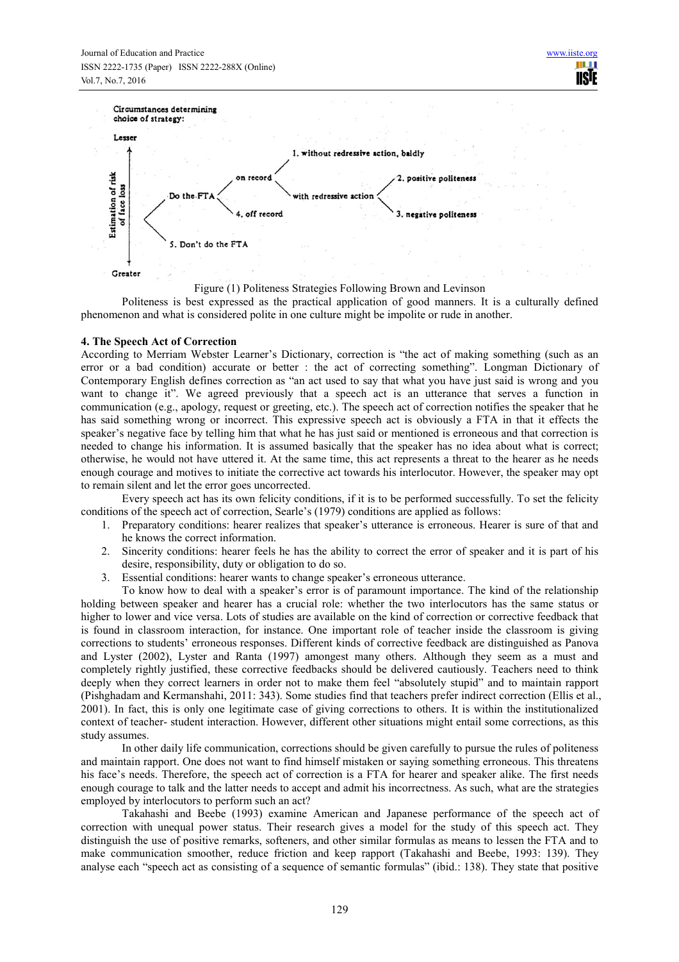



Politeness is best expressed as the practical application of good manners. It is a culturally defined phenomenon and what is considered polite in one culture might be impolite or rude in another.

## **4. The Speech Act of Correction**

According to Merriam Webster Learner's Dictionary, correction is "the act of making something (such as an error or a bad condition) accurate or better : the act of correcting something". Longman Dictionary of Contemporary English defines correction as "an act used to say that what you have just said is wrong and you want to change it". We agreed previously that a speech act is an utterance that serves a function in communication (e.g., apology, request or greeting, etc.). The speech act of correction notifies the speaker that he has said something wrong or incorrect. This expressive speech act is obviously a FTA in that it effects the speaker's negative face by telling him that what he has just said or mentioned is erroneous and that correction is needed to change his information. It is assumed basically that the speaker has no idea about what is correct; otherwise, he would not have uttered it. At the same time, this act represents a threat to the hearer as he needs enough courage and motives to initiate the corrective act towards his interlocutor. However, the speaker may opt to remain silent and let the error goes uncorrected.

Every speech act has its own felicity conditions, if it is to be performed successfully. To set the felicity conditions of the speech act of correction, Searle's (1979) conditions are applied as follows:

- 1. Preparatory conditions: hearer realizes that speaker's utterance is erroneous. Hearer is sure of that and he knows the correct information.
- 2. Sincerity conditions: hearer feels he has the ability to correct the error of speaker and it is part of his desire, responsibility, duty or obligation to do so.
- 3. Essential conditions: hearer wants to change speaker's erroneous utterance.

To know how to deal with a speaker's error is of paramount importance. The kind of the relationship holding between speaker and hearer has a crucial role: whether the two interlocutors has the same status or higher to lower and vice versa. Lots of studies are available on the kind of correction or corrective feedback that is found in classroom interaction, for instance. One important role of teacher inside the classroom is giving corrections to students' erroneous responses. Different kinds of corrective feedback are distinguished as Panova and Lyster (2002), Lyster and Ranta (1997) amongest many others. Although they seem as a must and completely rightly justified, these corrective feedbacks should be delivered cautiously. Teachers need to think deeply when they correct learners in order not to make them feel "absolutely stupid" and to maintain rapport (Pishghadam and Kermanshahi, 2011: 343). Some studies find that teachers prefer indirect correction (Ellis et al., 2001). In fact, this is only one legitimate case of giving corrections to others. It is within the institutionalized context of teacher- student interaction. However, different other situations might entail some corrections, as this study assumes.

In other daily life communication, corrections should be given carefully to pursue the rules of politeness and maintain rapport. One does not want to find himself mistaken or saying something erroneous. This threatens his face's needs. Therefore, the speech act of correction is a FTA for hearer and speaker alike. The first needs enough courage to talk and the latter needs to accept and admit his incorrectness. As such, what are the strategies employed by interlocutors to perform such an act?

Takahashi and Beebe (1993) examine American and Japanese performance of the speech act of correction with unequal power status. Their research gives a model for the study of this speech act. They distinguish the use of positive remarks, softeners, and other similar formulas as means to lessen the FTA and to make communication smoother, reduce friction and keep rapport (Takahashi and Beebe, 1993: 139). They analyse each "speech act as consisting of a sequence of semantic formulas" (ibid.: 138). They state that positive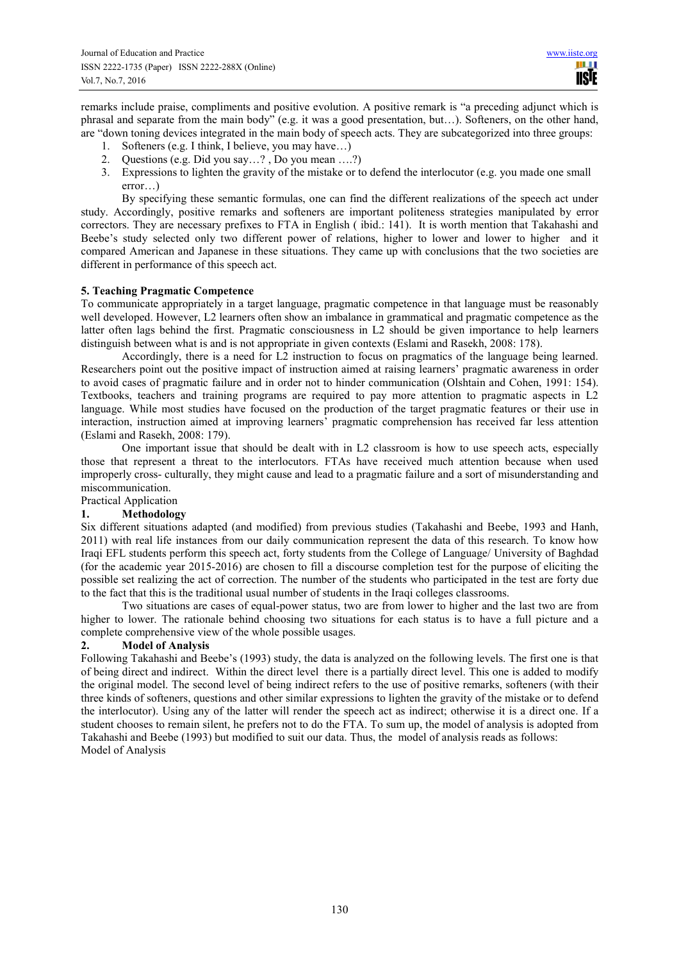remarks include praise, compliments and positive evolution. A positive remark is "a preceding adjunct which is phrasal and separate from the main body" (e.g. it was a good presentation, but…). Softeners, on the other hand, are "down toning devices integrated in the main body of speech acts. They are subcategorized into three groups:

- 1. Softeners (e.g. I think, I believe, you may have…)
- 2. Questions (e.g. Did you say…? , Do you mean ….?)
- 3. Expressions to lighten the gravity of the mistake or to defend the interlocutor (e.g. you made one small error…)

By specifying these semantic formulas, one can find the different realizations of the speech act under study. Accordingly, positive remarks and softeners are important politeness strategies manipulated by error correctors. They are necessary prefixes to FTA in English ( ibid.: 141). It is worth mention that Takahashi and Beebe's study selected only two different power of relations, higher to lower and lower to higher and it compared American and Japanese in these situations. They came up with conclusions that the two societies are different in performance of this speech act.

## **5. Teaching Pragmatic Competence**

To communicate appropriately in a target language, pragmatic competence in that language must be reasonably well developed. However, L2 learners often show an imbalance in grammatical and pragmatic competence as the latter often lags behind the first. Pragmatic consciousness in L2 should be given importance to help learners distinguish between what is and is not appropriate in given contexts (Eslami and Rasekh, 2008: 178).

Accordingly, there is a need for L2 instruction to focus on pragmatics of the language being learned. Researchers point out the positive impact of instruction aimed at raising learners' pragmatic awareness in order to avoid cases of pragmatic failure and in order not to hinder communication (Olshtain and Cohen, 1991: 154). Textbooks, teachers and training programs are required to pay more attention to pragmatic aspects in L2 language. While most studies have focused on the production of the target pragmatic features or their use in interaction, instruction aimed at improving learners' pragmatic comprehension has received far less attention (Eslami and Rasekh, 2008: 179).

One important issue that should be dealt with in L2 classroom is how to use speech acts, especially those that represent a threat to the interlocutors. FTAs have received much attention because when used improperly cross- culturally, they might cause and lead to a pragmatic failure and a sort of misunderstanding and miscommunication.

# Practical Application

## **1. Methodology**

Six different situations adapted (and modified) from previous studies (Takahashi and Beebe, 1993 and Hanh, 2011) with real life instances from our daily communication represent the data of this research. To know how Iraqi EFL students perform this speech act, forty students from the College of Language/ University of Baghdad (for the academic year 2015-2016) are chosen to fill a discourse completion test for the purpose of eliciting the possible set realizing the act of correction. The number of the students who participated in the test are forty due to the fact that this is the traditional usual number of students in the Iraqi colleges classrooms.

Two situations are cases of equal-power status, two are from lower to higher and the last two are from higher to lower. The rationale behind choosing two situations for each status is to have a full picture and a complete comprehensive view of the whole possible usages.

## **2. Model of Analysis**

Following Takahashi and Beebe's (1993) study, the data is analyzed on the following levels. The first one is that of being direct and indirect. Within the direct level there is a partially direct level. This one is added to modify the original model. The second level of being indirect refers to the use of positive remarks, softeners (with their three kinds of softeners, questions and other similar expressions to lighten the gravity of the mistake or to defend the interlocutor). Using any of the latter will render the speech act as indirect; otherwise it is a direct one. If a student chooses to remain silent, he prefers not to do the FTA. To sum up, the model of analysis is adopted from Takahashi and Beebe (1993) but modified to suit our data. Thus, the model of analysis reads as follows: Model of Analysis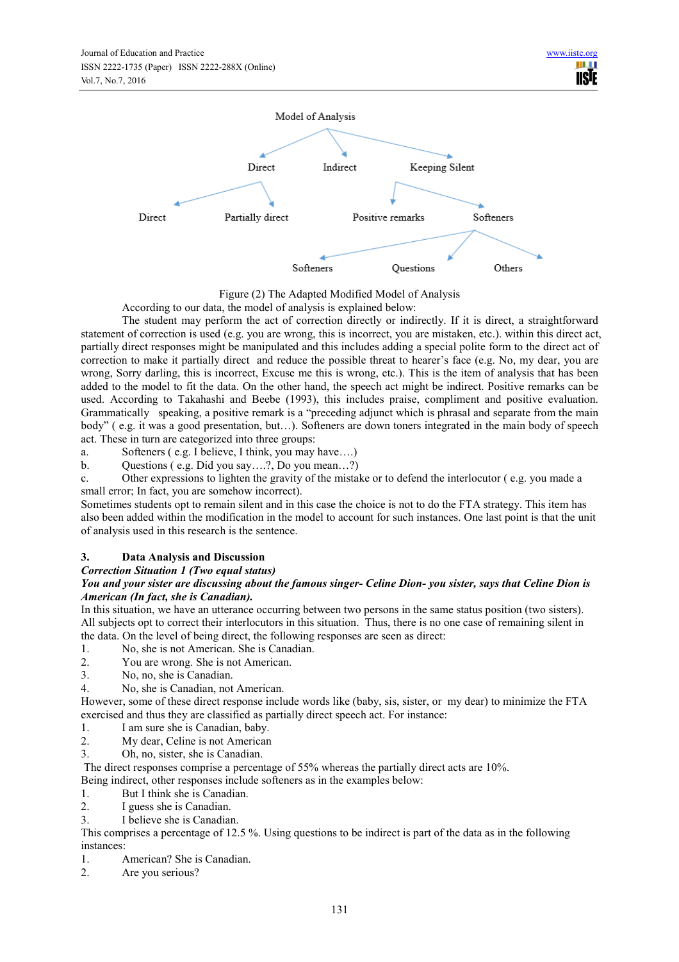

Figure (2) The Adapted Modified Model of Analysis

According to our data, the model of analysis is explained below:

The student may perform the act of correction directly or indirectly. If it is direct, a straightforward statement of correction is used (e.g. you are wrong, this is incorrect, you are mistaken, etc.). within this direct act, partially direct responses might be manipulated and this includes adding a special polite form to the direct act of correction to make it partially direct and reduce the possible threat to hearer's face (e.g. No, my dear, you are wrong, Sorry darling, this is incorrect, Excuse me this is wrong, etc.). This is the item of analysis that has been added to the model to fit the data. On the other hand, the speech act might be indirect. Positive remarks can be used. According to Takahashi and Beebe (1993), this includes praise, compliment and positive evaluation. Grammatically speaking, a positive remark is a "preceding adjunct which is phrasal and separate from the main body" ( e.g. it was a good presentation, but…). Softeners are down toners integrated in the main body of speech act. These in turn are categorized into three groups:

a. Softeners ( e.g. I believe, I think, you may have….)

b. Questions ( e.g. Did you say….?, Do you mean…?)

c. Other expressions to lighten the gravity of the mistake or to defend the interlocutor ( e.g. you made a small error; In fact, you are somehow incorrect).

Sometimes students opt to remain silent and in this case the choice is not to do the FTA strategy. This item has also been added within the modification in the model to account for such instances. One last point is that the unit of analysis used in this research is the sentence.

# **3. Data Analysis and Discussion**

# *Correction Situation 1 (Two equal status)*

## *You and your sister are discussing about the famous singer- Celine Dion- you sister, says that Celine Dion is American (In fact, she is Canadian).*

In this situation, we have an utterance occurring between two persons in the same status position (two sisters). All subjects opt to correct their interlocutors in this situation. Thus, there is no one case of remaining silent in the data. On the level of being direct, the following responses are seen as direct:<br>1 No. she is not American. She is Canadian.

- 1. No, she is not American. She is Canadian.<br>2. You are wrong She is not American.
- You are wrong. She is not American.
- 3. No, no, she is Canadian.
- 4. No, she is Canadian, not American.

However, some of these direct response include words like (baby, sis, sister, or my dear) to minimize the FTA exercised and thus they are classified as partially direct speech act. For instance:

- 1. I am sure she is Canadian, baby.
- 2. My dear, Celine is not American
- 3. Oh, no, sister, she is Canadian.

The direct responses comprise a percentage of 55% whereas the partially direct acts are 10%.

Being indirect, other responses include softeners as in the examples below:

- 1. But I think she is Canadian.
- 2. I guess she is Canadian.
- 3. I believe she is Canadian.

This comprises a percentage of 12.5 %. Using questions to be indirect is part of the data as in the following instances:

- 1. American? She is Canadian.
- 2. Are you serious?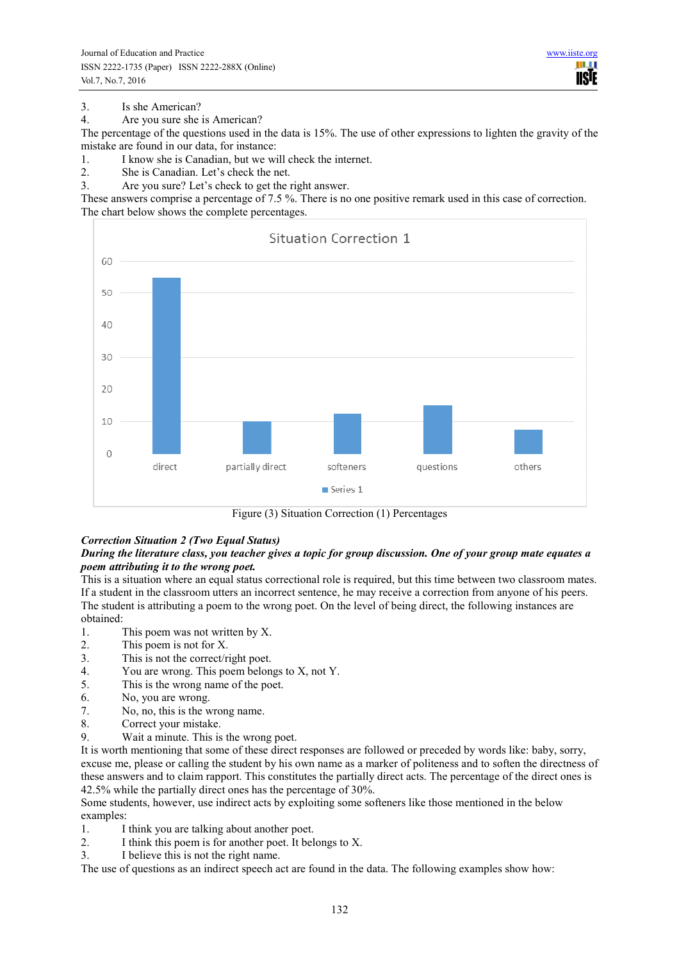3. Is she American?<br>4. Are you sure she

Are you sure she is American?

The percentage of the questions used in the data is 15%. The use of other expressions to lighten the gravity of the mistake are found in our data, for instance:

1. I know she is Canadian, but we will check the internet.<br>2. She is Canadian. Let's check the net.

- 2. She is Canadian. Let's check the net.
- 3. Are you sure? Let's check to get the right answer.

These answers comprise a percentage of 7.5 %. There is no one positive remark used in this case of correction. The chart below shows the complete percentages.



Figure (3) Situation Correction (1) Percentages

## *Correction Situation 2 (Two Equal Status)*

## *During the literature class, you teacher gives a topic for group discussion. One of your group mate equates a poem attributing it to the wrong poet.*

This is a situation where an equal status correctional role is required, but this time between two classroom mates. If a student in the classroom utters an incorrect sentence, he may receive a correction from anyone of his peers. The student is attributing a poem to the wrong poet. On the level of being direct, the following instances are obtained:

- 1. This poem was not written by X.
- 2. This poem is not for X.
- 3. This is not the correct/right poet.<br>4 You are wrong This poem belon
- 4. You are wrong. This poem belongs to  $X$ , not  $Y$ .<br>5 This is the wrong name of the poet
- This is the wrong name of the poet.
- 6. No, you are wrong.
- 7. No, no, this is the wrong name.
- 8. Correct your mistake.
- 9. Wait a minute. This is the wrong poet.

It is worth mentioning that some of these direct responses are followed or preceded by words like: baby, sorry, excuse me, please or calling the student by his own name as a marker of politeness and to soften the directness of these answers and to claim rapport. This constitutes the partially direct acts. The percentage of the direct ones is 42.5% while the partially direct ones has the percentage of 30%.

Some students, however, use indirect acts by exploiting some softeners like those mentioned in the below examples:

- 1. I think you are talking about another poet.
- 2. I think this poem is for another poet. It belongs to X.
- 3. I believe this is not the right name.

The use of questions as an indirect speech act are found in the data. The following examples show how: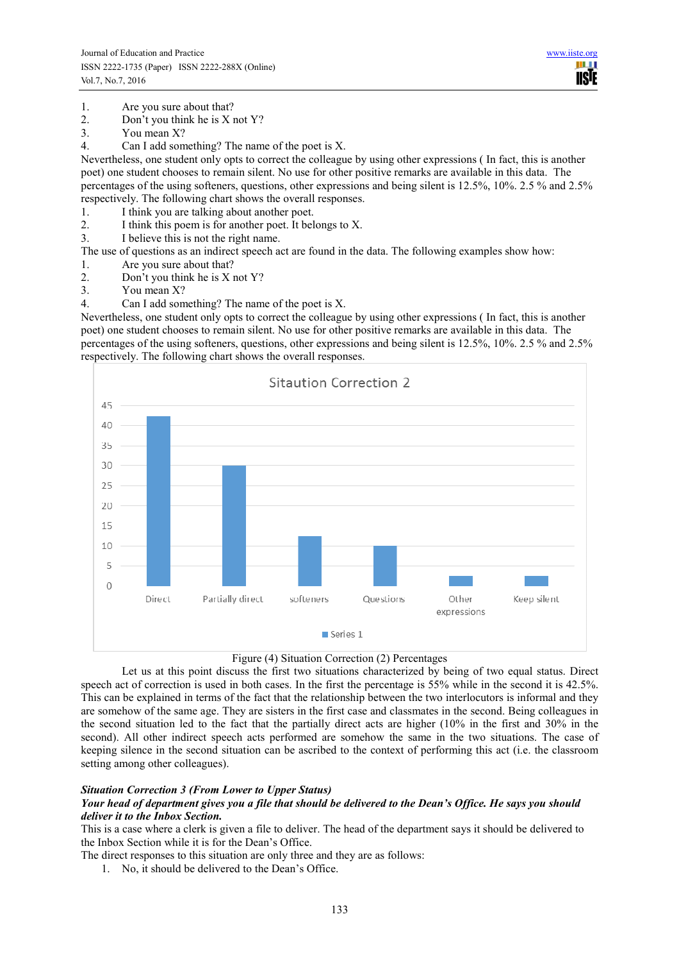- 1. Are you sure about that?<br>2. Don't you think he is  $X_1$
- Don't you think he is X not Y?
- 3. You mean X?
- 4. Can I add something? The name of the poet is X.

Nevertheless, one student only opts to correct the colleague by using other expressions ( In fact, this is another poet) one student chooses to remain silent. No use for other positive remarks are available in this data. The percentages of the using softeners, questions, other expressions and being silent is 12.5%, 10%. 2.5 % and 2.5% respectively. The following chart shows the overall responses.

- 1. I think you are talking about another poet.
- 2. I think this poem is for another poet. It belongs to X.
- 3. I believe this is not the right name.

The use of questions as an indirect speech act are found in the data. The following examples show how:

- 1. Are you sure about that?
- 2. Don't you think he is X not Y?
- 3. You mean X?
- 4. Can I add something? The name of the poet is X.

Nevertheless, one student only opts to correct the colleague by using other expressions ( In fact, this is another poet) one student chooses to remain silent. No use for other positive remarks are available in this data. The percentages of the using softeners, questions, other expressions and being silent is 12.5%, 10%. 2.5 % and 2.5% respectively. The following chart shows the overall responses.





Let us at this point discuss the first two situations characterized by being of two equal status. Direct speech act of correction is used in both cases. In the first the percentage is 55% while in the second it is 42.5%. This can be explained in terms of the fact that the relationship between the two interlocutors is informal and they are somehow of the same age. They are sisters in the first case and classmates in the second. Being colleagues in the second situation led to the fact that the partially direct acts are higher (10% in the first and 30% in the second). All other indirect speech acts performed are somehow the same in the two situations. The case of keeping silence in the second situation can be ascribed to the context of performing this act (i.e. the classroom setting among other colleagues).

## *Situation Correction 3 (From Lower to Upper Status)*

#### *Your head of department gives you a file that should be delivered to the Dean's Office. He says you should deliver it to the Inbox Section.*

This is a case where a clerk is given a file to deliver. The head of the department says it should be delivered to the Inbox Section while it is for the Dean's Office.

The direct responses to this situation are only three and they are as follows:

1. No, it should be delivered to the Dean's Office.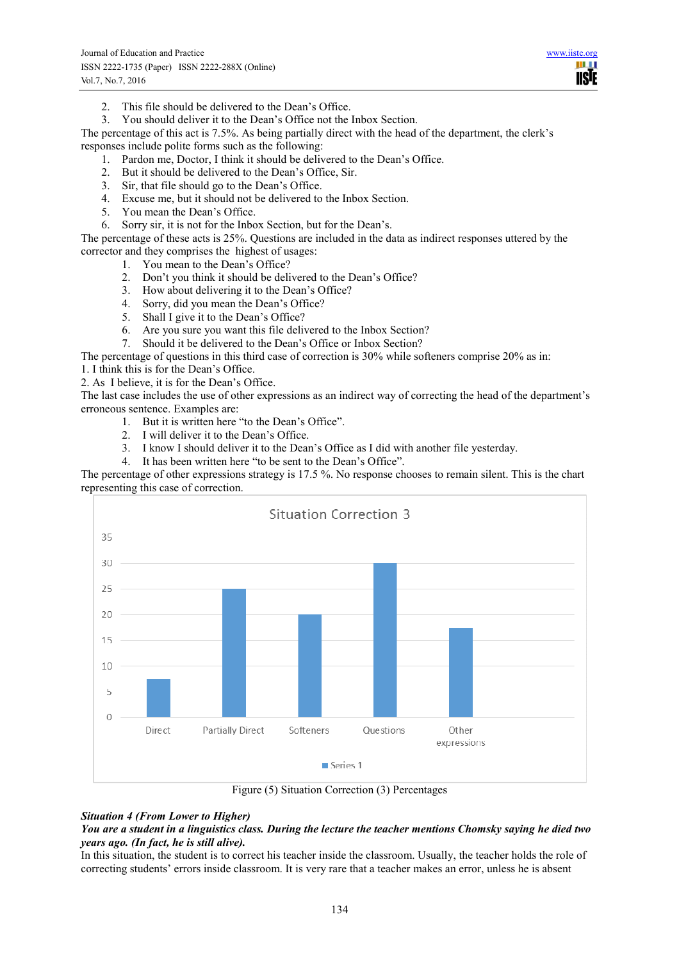- 2. This file should be delivered to the Dean's Office.
- 3. You should deliver it to the Dean's Office not the Inbox Section.

The percentage of this act is 7.5%. As being partially direct with the head of the department, the clerk's responses include polite forms such as the following:

- 1. Pardon me, Doctor, I think it should be delivered to the Dean's Office.
- 2. But it should be delivered to the Dean's Office, Sir.
- 3. Sir, that file should go to the Dean's Office.
- 4. Excuse me, but it should not be delivered to the Inbox Section.
- 5. You mean the Dean's Office.
- 6. Sorry sir, it is not for the Inbox Section, but for the Dean's.

The percentage of these acts is 25%. Questions are included in the data as indirect responses uttered by the corrector and they comprises the highest of usages:

- 1. You mean to the Dean's Office?
- 2. Don't you think it should be delivered to the Dean's Office?
- 3. How about delivering it to the Dean's Office?
- 4. Sorry, did you mean the Dean's Office?
- 5. Shall I give it to the Dean's Office?
- 6. Are you sure you want this file delivered to the Inbox Section?
- 7. Should it be delivered to the Dean's Office or Inbox Section?

The percentage of questions in this third case of correction is 30% while softeners comprise 20% as in:

1. I think this is for the Dean's Office.

2. As I believe, it is for the Dean's Office.

The last case includes the use of other expressions as an indirect way of correcting the head of the department's erroneous sentence. Examples are:

- 1. But it is written here "to the Dean's Office".
- 2. I will deliver it to the Dean's Office.
- 3. I know I should deliver it to the Dean's Office as I did with another file yesterday.
- 4. It has been written here "to be sent to the Dean's Office".

The percentage of other expressions strategy is 17.5 %. No response chooses to remain silent. This is the chart representing this case of correction.



Figure (5) Situation Correction (3) Percentages

## *Situation 4 (From Lower to Higher)*

#### *You are a student in a linguistics class. During the lecture the teacher mentions Chomsky saying he died two years ago. (In fact, he is still alive).*

In this situation, the student is to correct his teacher inside the classroom. Usually, the teacher holds the role of correcting students' errors inside classroom. It is very rare that a teacher makes an error, unless he is absent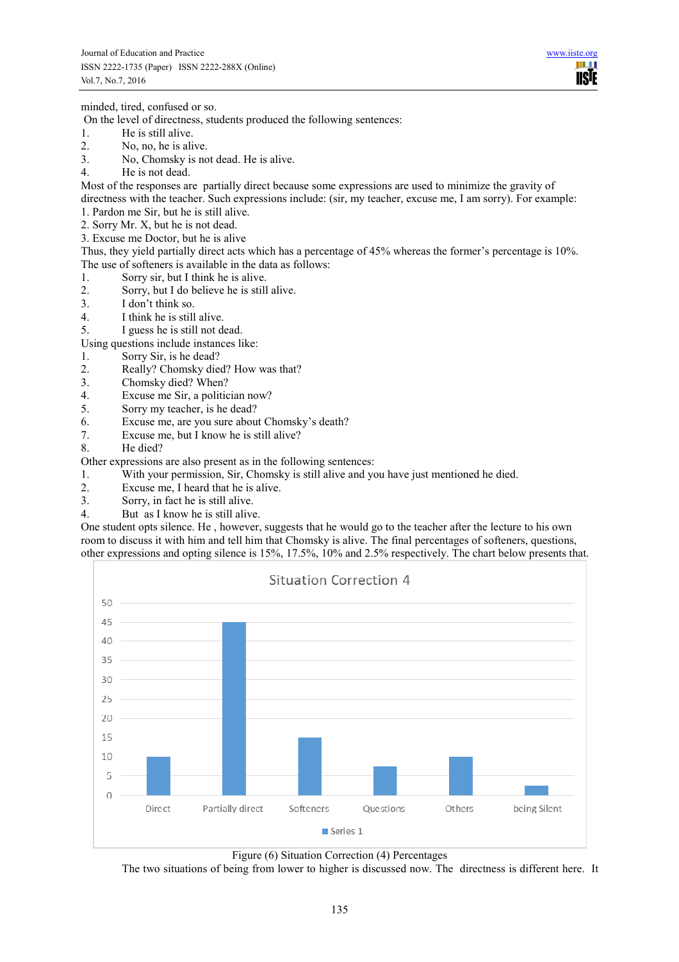**TISIE** 

minded, tired, confused or so.

On the level of directness, students produced the following sentences:

- 1. He is still alive.
- 2. No, no, he is alive.<br>3 No. Chomsky is no
- No. Chomsky is not dead. He is alive.
- 4. He is not dead.

Most of the responses are partially direct because some expressions are used to minimize the gravity of directness with the teacher. Such expressions include: (sir, my teacher, excuse me, I am sorry). For example:

- 1. Pardon me Sir, but he is still alive.
- 2. Sorry Mr. X, but he is not dead.
- 3. Excuse me Doctor, but he is alive

Thus, they yield partially direct acts which has a percentage of 45% whereas the former's percentage is 10%. The use of softeners is available in the data as follows:

- 1. Sorry sir, but I think he is alive.
- 2. Sorry, but I do believe he is still alive.<br>3 I don't think so.
- I don't think so.
- 4. I think he is still alive.
- 5. I guess he is still not dead.

Using questions include instances like:

- 1. Sorry Sir, is he dead?
- 2. Really? Chomsky died? How was that?
- 3. Chomsky died? When?<br>4 Excuse me Sir a politic
- 4. Excuse me Sir, a politician now?<br>5. Sorry my teacher, is he dead?
- Sorry my teacher, is he dead?
- 6. Excuse me, are you sure about Chomsky's death?
- 7. Excuse me, but I know he is still alive?
- 8. He died?

Other expressions are also present as in the following sentences:

- 1. With your permission, Sir, Chomsky is still alive and you have just mentioned he died.
- 2. Excuse me, I heard that he is alive.
- 3. Sorry, in fact he is still alive.
- 4. But as I know he is still alive.

One student opts silence. He , however, suggests that he would go to the teacher after the lecture to his own room to discuss it with him and tell him that Chomsky is alive. The final percentages of softeners, questions, other expressions and opting silence is 15%, 17.5%, 10% and 2.5% respectively. The chart below presents that.



Figure (6) Situation Correction (4) Percentages

The two situations of being from lower to higher is discussed now. The directness is different here. It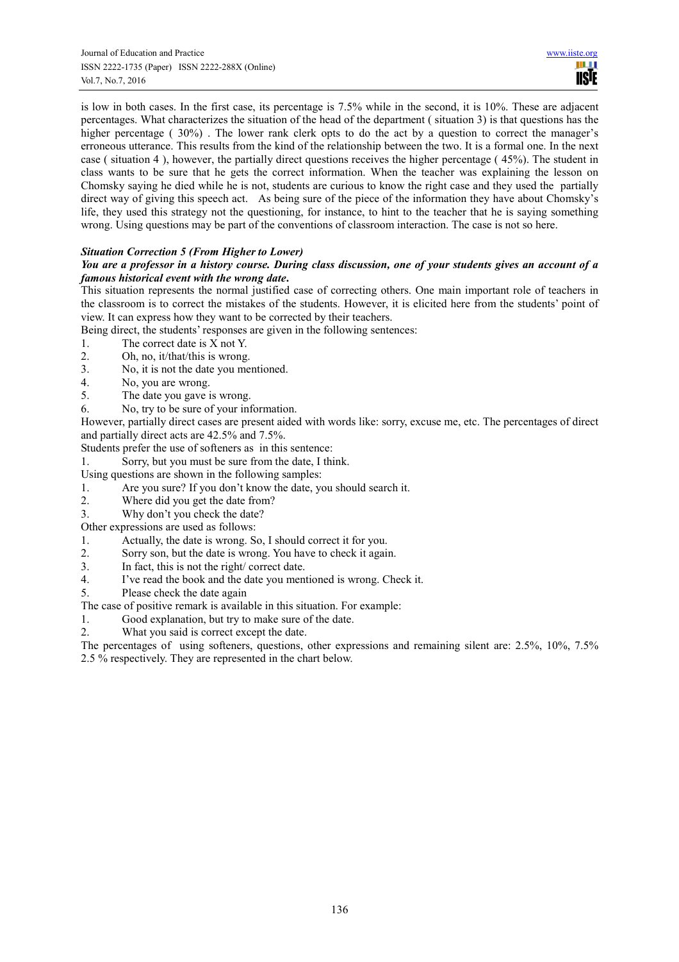is low in both cases. In the first case, its percentage is 7.5% while in the second, it is 10%. These are adjacent percentages. What characterizes the situation of the head of the department ( situation 3) is that questions has the higher percentage (30%). The lower rank clerk opts to do the act by a question to correct the manager's erroneous utterance. This results from the kind of the relationship between the two. It is a formal one. In the next case ( situation 4 ), however, the partially direct questions receives the higher percentage ( 45%). The student in class wants to be sure that he gets the correct information. When the teacher was explaining the lesson on Chomsky saying he died while he is not, students are curious to know the right case and they used the partially direct way of giving this speech act. As being sure of the piece of the information they have about Chomsky's life, they used this strategy not the questioning, for instance, to hint to the teacher that he is saying something wrong. Using questions may be part of the conventions of classroom interaction. The case is not so here.

# *Situation Correction 5 (From Higher to Lower)*

## *You are a professor in a history course. During class discussion, one of your students gives an account of a famous historical event with the wrong date***.**

This situation represents the normal justified case of correcting others. One main important role of teachers in the classroom is to correct the mistakes of the students. However, it is elicited here from the students' point of view. It can express how they want to be corrected by their teachers.

Being direct, the students' responses are given in the following sentences:

- 1. The correct date is  $X$  not  $Y$ .<br>2. Oh. no. it/that/this is wrong.
- 2. Oh, no, it/that/this is wrong.
- 3. No, it is not the date you mentioned.
- 4. No, you are wrong.<br>5 The date you gave
- The date you gave is wrong.
- 6. No, try to be sure of your information.

However, partially direct cases are present aided with words like: sorry, excuse me, etc. The percentages of direct and partially direct acts are 42.5% and 7.5%.

Students prefer the use of softeners as in this sentence:

1. Sorry, but you must be sure from the date, I think.

Using questions are shown in the following samples:

- 1. Are you sure? If you don't know the date, you should search it.
- 2. Where did you get the date from?
- 3. Why don't you check the date?

Other expressions are used as follows:

- 1. Actually, the date is wrong. So, I should correct it for you.
- 2. Sorry son, but the date is wrong. You have to check it again.
- 3. In fact, this is not the right/ correct date.
- 4. I've read the book and the date you mentioned is wrong. Check it.
- 5. Please check the date again

The case of positive remark is available in this situation. For example:

- 1. Good explanation, but try to make sure of the date.
- 2. What you said is correct except the date.

The percentages of using softeners, questions, other expressions and remaining silent are: 2.5%, 10%, 7.5% 2.5 % respectively. They are represented in the chart below.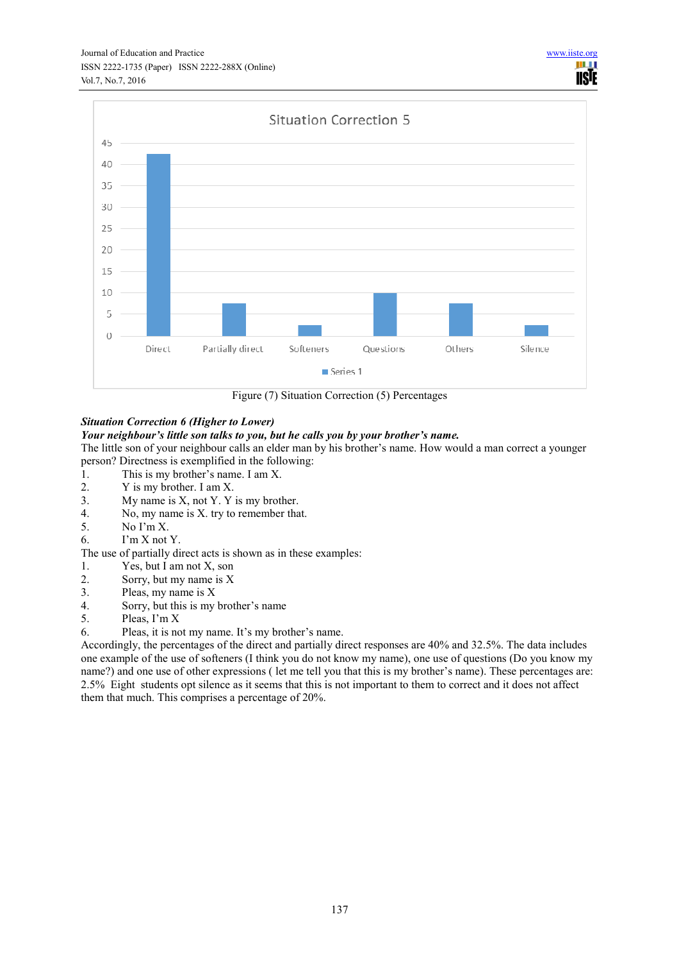

Figure (7) Situation Correction (5) Percentages

# *Situation Correction 6 (Higher to Lower)*

# *Your neighbour's little son talks to you, but he calls you by your brother's name.*

The little son of your neighbour calls an elder man by his brother's name. How would a man correct a younger person? Directness is exemplified in the following:

- 1. This is my brother's name. I am X.<br>2. Y is my brother. I am X.
- Y is my brother. I am X.
- 3. My name is X, not Y. Y is my brother.
- 4. No, my name is X. try to remember that.
- 5  $\log N_0 \log X$
- 6. I'm X not Y.

The use of partially direct acts is shown as in these examples:

- 1. Yes, but I am not X, son
- 2. Sorry, but my name is X
- 3. Pleas, my name is X
- 4. Sorry, but this is my brother's name
- 5. Pleas, I'm X
- 6. Pleas, it is not my name. It's my brother's name.

Accordingly, the percentages of the direct and partially direct responses are 40% and 32.5%. The data includes one example of the use of softeners (I think you do not know my name), one use of questions (Do you know my name?) and one use of other expressions ( let me tell you that this is my brother's name). These percentages are: 2.5% Eight students opt silence as it seems that this is not important to them to correct and it does not affect them that much. This comprises a percentage of 20%.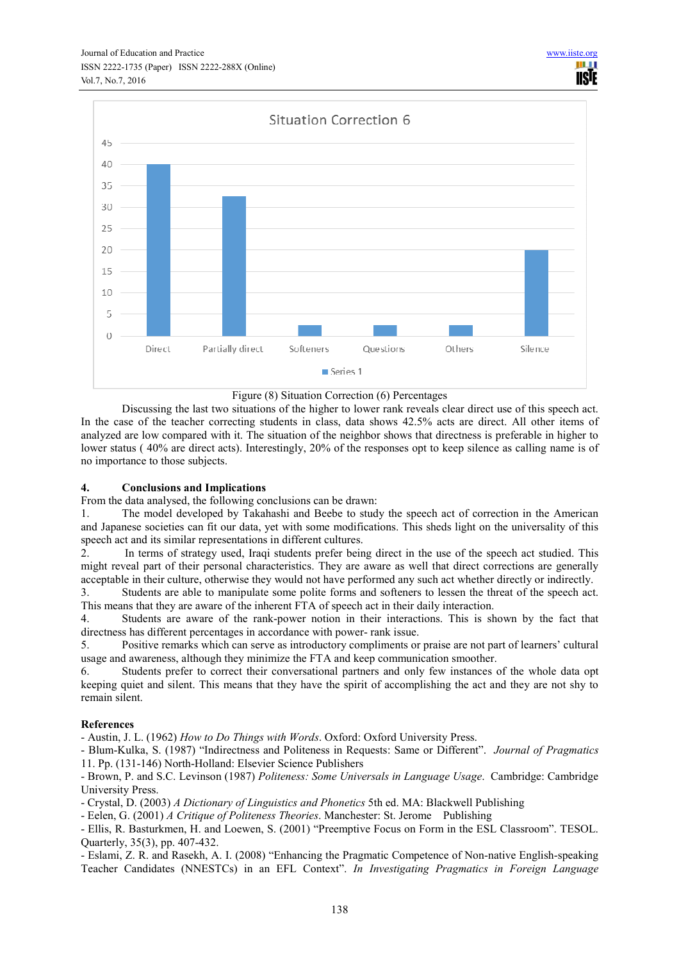

#### Figure (8) Situation Correction (6) Percentages

Discussing the last two situations of the higher to lower rank reveals clear direct use of this speech act. In the case of the teacher correcting students in class, data shows 42.5% acts are direct. All other items of analyzed are low compared with it. The situation of the neighbor shows that directness is preferable in higher to lower status (40% are direct acts). Interestingly, 20% of the responses opt to keep silence as calling name is of no importance to those subjects.

#### **4. Conclusions and Implications**

From the data analysed, the following conclusions can be drawn:

1. The model developed by Takahashi and Beebe to study the speech act of correction in the American and Japanese societies can fit our data, yet with some modifications. This sheds light on the universality of this speech act and its similar representations in different cultures.

2. In terms of strategy used, Iraqi students prefer being direct in the use of the speech act studied. This might reveal part of their personal characteristics. They are aware as well that direct corrections are generally acceptable in their culture, otherwise they would not have performed any such act whether directly or indirectly.

3. Students are able to manipulate some polite forms and softeners to lessen the threat of the speech act. This means that they are aware of the inherent FTA of speech act in their daily interaction.

4. Students are aware of the rank-power notion in their interactions. This is shown by the fact that directness has different percentages in accordance with power- rank issue.

5. Positive remarks which can serve as introductory compliments or praise are not part of learners' cultural usage and awareness, although they minimize the FTA and keep communication smoother.

6. Students prefer to correct their conversational partners and only few instances of the whole data opt keeping quiet and silent. This means that they have the spirit of accomplishing the act and they are not shy to remain silent.

#### **References**

- Austin, J. L. (1962) *How to Do Things with Words*. Oxford: Oxford University Press.

- Blum-Kulka, S. (1987) "Indirectness and Politeness in Requests: Same or Different". *Journal of Pragmatics* 11. Pp. (131-146) North-Holland: Elsevier Science Publishers

- Brown, P. and S.C. Levinson (1987) *Politeness: Some Universals in Language Usage*. Cambridge: Cambridge University Press.

- Crystal, D. (2003) *A Dictionary of Linguistics and Phonetics* 5th ed. MA: Blackwell Publishing

- Eelen, G. (2001) *A Critique of Politeness Theories*. Manchester: St. Jerome Publishing

- Ellis, R. Basturkmen, H. and Loewen, S. (2001) "Preemptive Focus on Form in the ESL Classroom". TESOL. Quarterly, 35(3), pp. 407-432.

- Eslami, Z. R. and Rasekh, A. I. (2008) "Enhancing the Pragmatic Competence of Non-native English-speaking Teacher Candidates (NNESTCs) in an EFL Context". *In Investigating Pragmatics in Foreign Language*